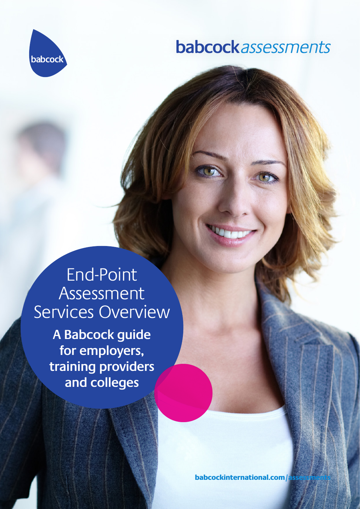

## **babcock**assessments

End-Point Assessment Services Overview **A Babcock guide** 

**for employers, training providers and colleges**

babcockinternational.com/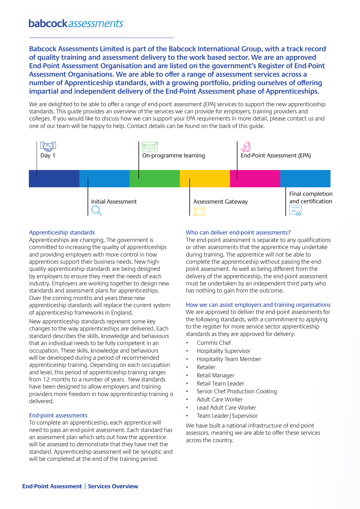**Babcock Assessments Limited is part of the Babcock International Group, with a track record of quality training and assessment delivery to the work based sector. We are an approved End-Point Assessment Organisation and are listed on the government's Register of End-Point Assessment Organisations. We are able to offer a range of assessment services across a number of Apprenticeship standards, with a growing portfolio, priding ourselves of offering impartial and independent delivery of the End-Point Assessment phase of Apprenticeships.**

We are delighted to be able to offer a range of end-point assessment (EPA) services to support the new apprenticeship standards. This guide provides an overview of the services we can provide for employers, training providers and colleges. If you would like to discuss how we can support your EPA requirements in more detail, please contact us and one of our team will be happy to help. Contact details can be found on the back of this guide.



### Apprenticeship standards

Apprenticeships are changing. The government is committed to increasing the quality of apprenticeships and providing employers with more control in how apprentices support their business needs. New highquality apprenticeship standards are being designed by employers to ensure they meet the needs of each industry. Employers are working together to design new standards and assessment plans for apprenticeships. Over the coming months and years these new apprenticeship standards will replace the current system of apprenticeship frameworks in England.

New apprenticeship standards represent some key changes to the way apprenticeships are delivered. Each standard describes the skills, knowledge and behaviours that an individual needs to be fully competent in an occupation. These skills, knowledge and behaviours will be developed during a period of recommended apprenticeship training. Depending on each occupation and level, this period of apprenticeship training ranges from 12 months to a number of years. New standards have been designed to allow employers and training providers more freedom in how apprenticeship training is delivered.

#### End-point assessments

To complete an apprenticeship, each apprentice will need to pass an end-point assessment. Each standard has an assessment plan which sets out how the apprentice will be assessed to demonstrate that they have met the standard. Apprenticeship assessment will be synoptic and will be completed at the end of the training period.

#### Who can deliver end-point assessments?

The end-point assessment is separate to any qualifications or other assessments that the apprentice may undertake during training. The apprentice will not be able to complete the apprenticeship without passing the endpoint assessment. As well as being different from the delivery of the apprenticeship, the end-point assessment must be undertaken by an independent third party who has nothing to gain from the outcome.

#### How we can assist employers and training organisations

We are approved to deliver the end-point assessments for the following standards, with a commitment to applying to the register for more service sector apprenticeship standards as they are approved for delivery:

- Commis Chef
- Hospitality Supervisor
- Hospitality Team Member
- **Retailer**
- Retail Manager
- Retail Team Leader
- Senior Chef Production Cooking
- Adult Care Worker
- Lead Adult Care Worker
- Team Leader/Supervisor

We have built a national infrastructure of end-point assessors, meaning we are able to offer these services across the country.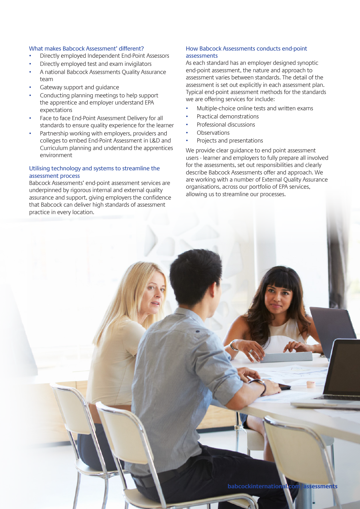#### What makes Babcock Assessment' different?

- Directly employed Independent End-Point Assessors
- Directly employed test and exam invigilators
- A national Babcock Assessments Quality Assurance team
- Gateway support and quidance
- Conducting planning meetings to help support the apprentice and employer understand EPA expectations
- Face to face End-Point Assessment Delivery for all standards to ensure quality experience for the learner
- Partnership working with employers, providers and colleges to embed End-Point Assessment in L&D and Curriculum planning and understand the apprentices environment

### Utilising technology and systems to streamline the assessment process

Babcock Assessments' end-point assessment services are underpinned by rigorous internal and external quality assurance and support, giving employers the confidence that Babcock can deliver high standards of assessment practice in every location.

#### How Babcock Assessments conducts end-point assessments

As each standard has an employer designed synoptic end-point assessment, the nature and approach to assessment varies between standards. The detail of the assessment is set out explicitly in each assessment plan. Typical end-point assessment methods for the standards we are offering services for include:

- Multiple-choice online tests and written exams
- Practical demonstrations
- Professional discussions
- **Observations**
- Projects and presentations

We provide clear quidance to end point assessment users - learner and employers to fully prepare all involved for the assessments, set out responsibilities and clearly describe Babcock Assessments offer and approach. We are working with a number of External Quality Assurance organisations, across our portfolio of EPA services, allowing us to streamline our processes.